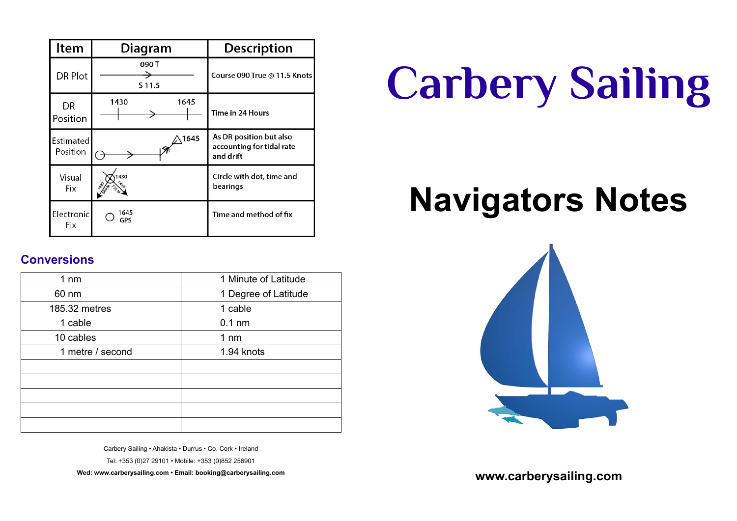| Item                  | Diagram         | <b>Description</b>                                                |
|-----------------------|-----------------|-------------------------------------------------------------------|
| DR Plot               | 090 T<br>S 11.5 | Course 090 True @ 11.5 Knots                                      |
| <b>DR</b><br>Position | 1645<br>1430    | Time in 24 Hours                                                  |
| Estimated<br>Position | 1645            | As DR position but also<br>accounting for tidal rate<br>and drift |
| Visual<br>Fix         | 430             | Circle with dot, time and<br>bearings                             |
| Electronic<br>Fix     | 1645<br>GPS     | Time and method of fix                                            |

#### **Conversions**

| 1 Minute of Latitude |
|----------------------|
| 1 Degree of Latitude |
| 1 cable              |
| $0.1$ nm             |
| $1 \text{ nm}$       |
| 1.94 knots           |
|                      |
|                      |
|                      |
|                      |
|                      |
|                      |

Carbery Sailing • Ahakista • Durrus • Co. Cork • Ireland

Tel: +353 (0)27 29101 • Mobile: +353 (0)852 256901

**Wed: www.carberysailing.com • Email: booking@carberysailing.com**

# **Carbery Sailing**

## **Navigators Notes**



**www.carberysailing.com**